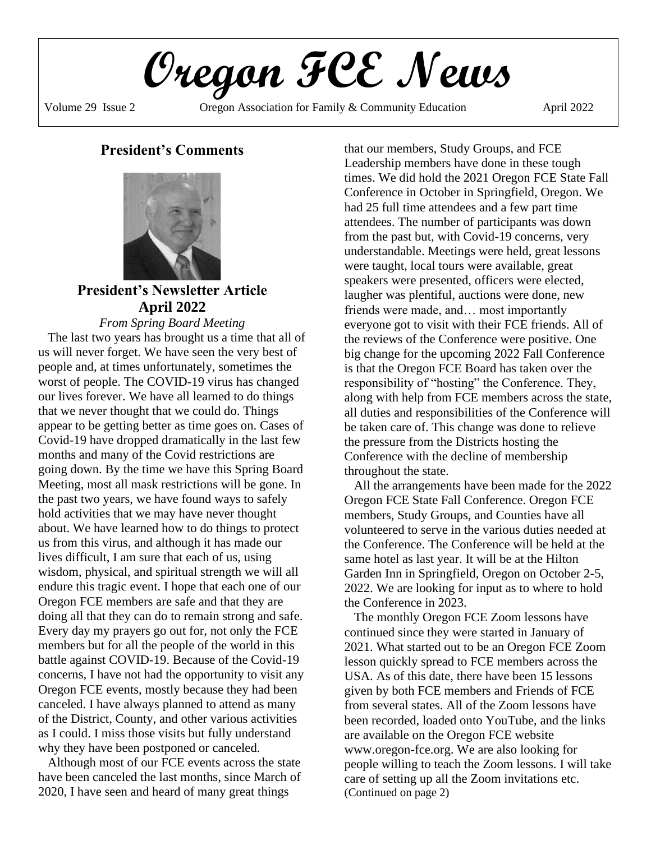**Oregon FCE News**

Volume 29 Issue 2 Cregon Association for Family & Community Education April 2022

# **President's Comments**



**President's Newsletter Article April 2022**

*From Spring Board Meeting* The last two years has brought us a time that all of us will never forget. We have seen the very best of people and, at times unfortunately, sometimes the worst of people. The COVID-19 virus has changed our lives forever. We have all learned to do things that we never thought that we could do. Things appear to be getting better as time goes on. Cases of Covid-19 have dropped dramatically in the last few months and many of the Covid restrictions are going down. By the time we have this Spring Board Meeting, most all mask restrictions will be gone. In the past two years, we have found ways to safely hold activities that we may have never thought about. We have learned how to do things to protect us from this virus, and although it has made our lives difficult, I am sure that each of us, using wisdom, physical, and spiritual strength we will all endure this tragic event. I hope that each one of our Oregon FCE members are safe and that they are doing all that they can do to remain strong and safe. Every day my prayers go out for, not only the FCE members but for all the people of the world in this battle against COVID-19. Because of the Covid-19 concerns, I have not had the opportunity to visit any Oregon FCE events, mostly because they had been canceled. I have always planned to attend as many of the District, County, and other various activities as I could. I miss those visits but fully understand why they have been postponed or canceled.

Although most of our FCE events across the state have been canceled the last months, since March of 2020, I have seen and heard of many great things

that our members, Study Groups, and FCE Leadership members have done in these tough times. We did hold the 2021 Oregon FCE State Fall Conference in October in Springfield, Oregon. We had 25 full time attendees and a few part time attendees. The number of participants was down from the past but, with Covid-19 concerns, very understandable. Meetings were held, great lessons were taught, local tours were available, great speakers were presented, officers were elected, laugher was plentiful, auctions were done, new friends were made, and… most importantly everyone got to visit with their FCE friends. All of the reviews of the Conference were positive. One big change for the upcoming 2022 Fall Conference is that the Oregon FCE Board has taken over the responsibility of "hosting" the Conference. They, along with help from FCE members across the state, all duties and responsibilities of the Conference will be taken care of. This change was done to relieve the pressure from the Districts hosting the Conference with the decline of membership throughout the state.

All the arrangements have been made for the 2022 Oregon FCE State Fall Conference. Oregon FCE members, Study Groups, and Counties have all volunteered to serve in the various duties needed at the Conference. The Conference will be held at the same hotel as last year. It will be at the Hilton Garden Inn in Springfield, Oregon on October 2-5, 2022. We are looking for input as to where to hold the Conference in 2023.

The monthly Oregon FCE Zoom lessons have continued since they were started in January of 2021. What started out to be an Oregon FCE Zoom lesson quickly spread to FCE members across the USA. As of this date, there have been 15 lessons given by both FCE members and Friends of FCE from several states. All of the Zoom lessons have been recorded, loaded onto YouTube, and the links are available on the Oregon FCE website www.oregon-fce.org. We are also looking for people willing to teach the Zoom lessons. I will take care of setting up all the Zoom invitations etc. (Continued on page 2)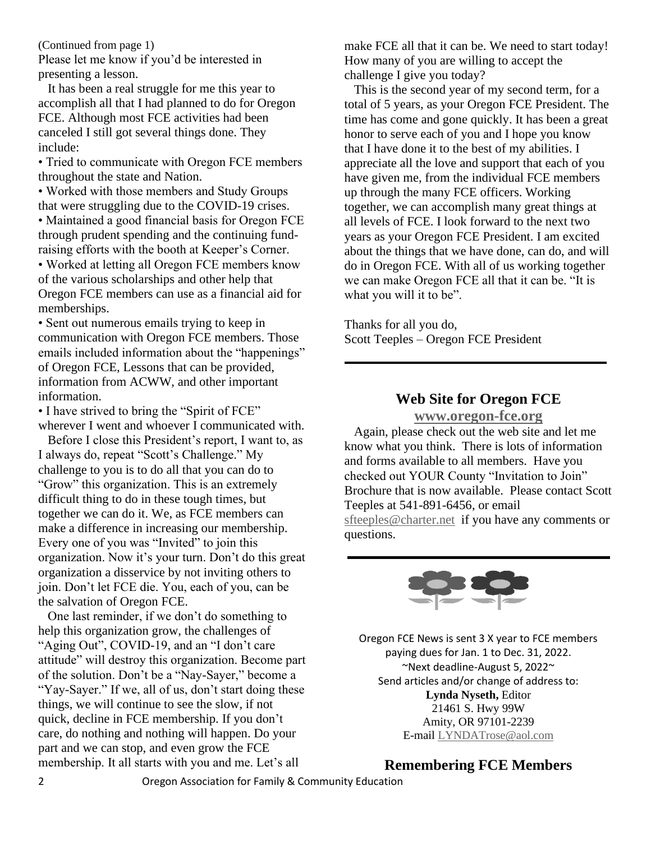(Continued from page 1)

Please let me know if you'd be interested in presenting a lesson.

It has been a real struggle for me this year to accomplish all that I had planned to do for Oregon FCE. Although most FCE activities had been canceled I still got several things done. They include:

• Tried to communicate with Oregon FCE members throughout the state and Nation.

• Worked with those members and Study Groups that were struggling due to the COVID-19 crises.

• Maintained a good financial basis for Oregon FCE through prudent spending and the continuing fundraising efforts with the booth at Keeper's Corner.

• Worked at letting all Oregon FCE members know of the various scholarships and other help that Oregon FCE members can use as a financial aid for memberships.

• Sent out numerous emails trying to keep in communication with Oregon FCE members. Those emails included information about the "happenings" of Oregon FCE, Lessons that can be provided, information from ACWW, and other important information.

• I have strived to bring the "Spirit of FCE" wherever I went and whoever I communicated with.

Before I close this President's report, I want to, as I always do, repeat "Scott's Challenge." My challenge to you is to do all that you can do to "Grow" this organization. This is an extremely difficult thing to do in these tough times, but together we can do it. We, as FCE members can make a difference in increasing our membership. Every one of you was "Invited" to join this organization. Now it's your turn. Don't do this great organization a disservice by not inviting others to join. Don't let FCE die. You, each of you, can be the salvation of Oregon FCE.

One last reminder, if we don't do something to help this organization grow, the challenges of "Aging Out", COVID-19, and an "I don't care attitude" will destroy this organization. Become part of the solution. Don't be a "Nay-Sayer," become a "Yay-Sayer." If we, all of us, don't start doing these things, we will continue to see the slow, if not quick, decline in FCE membership. If you don't care, do nothing and nothing will happen. Do your part and we can stop, and even grow the FCE membership. It all starts with you and me. Let's all

make FCE all that it can be. We need to start today! How many of you are willing to accept the challenge I give you today?

This is the second year of my second term, for a total of 5 years, as your Oregon FCE President. The time has come and gone quickly. It has been a great honor to serve each of you and I hope you know that I have done it to the best of my abilities. I appreciate all the love and support that each of you have given me, from the individual FCE members up through the many FCE officers. Working together, we can accomplish many great things at all levels of FCE. I look forward to the next two years as your Oregon FCE President. I am excited about the things that we have done, can do, and will do in Oregon FCE. With all of us working together we can make Oregon FCE all that it can be. "It is what you will it to be".

Thanks for all you do, Scott Teeples – Oregon FCE President

# **Web Site for Oregon FCE**

**[www.oregon-fce.org](http://www.oregon-fce.org/)**

Again, please check out the web site and let me know what you think. There is lots of information and forms available to all members. Have you checked out YOUR County "Invitation to Join" Brochure that is now available. Please contact Scott Teeples at 541-891-6456, or email [sfteeples@charter.net](mailto:sfteeples@charter.net) if you have any comments or questions.

Oregon FCE News is sent 3 X year to FCE members payin[g dues for](https://creativecommons.org/licenses/by-nd/3.0/) Jan. 1 to Dec. 31, 2022. ~Next deadline-August 5, 2022~ Send articles and/or change of address to: **Lynda Nyseth,** Editor 21461 S. Hwy 99W Amity, OR 97101-2239 E-mail [LYNDATrose@aol.com](mailto:LYNDATrose@aol.com)

**Remembering FCE Members**

2 Oregon Association for Family & Community Education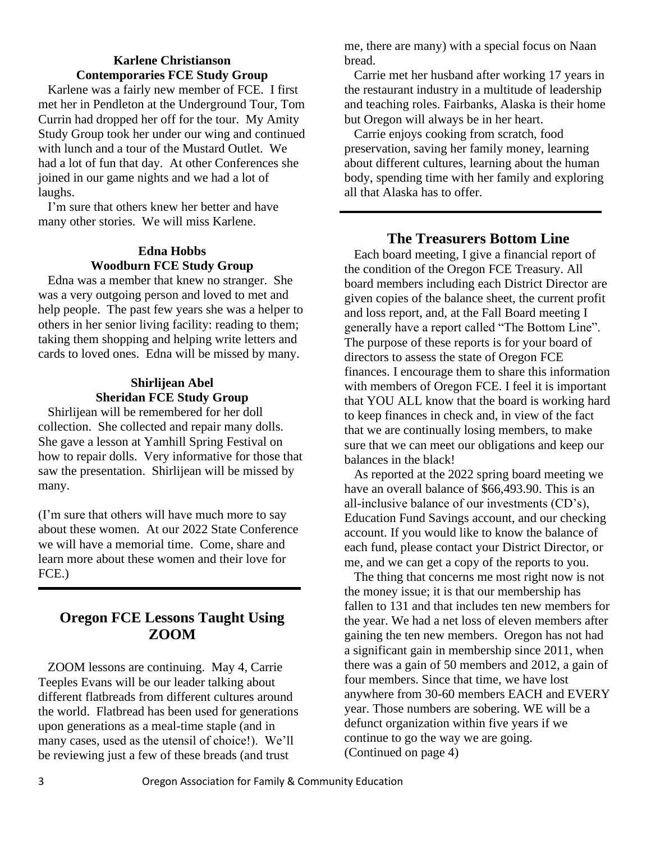# **Karlene Christianson Contemporaries FCE Study Group**

Karlene was a fairly new member of FCE. I first met her in Pendleton at the Underground Tour, Tom Currin had dropped her off for the tour. My Amity Study Group took her under our wing and continued with lunch and a tour of the Mustard Outlet. We had a lot of fun that day. At other Conferences she joined in our game nights and we had a lot of laughs.

I'm sure that others knew her better and have many other stories. We will miss Karlene.

## **Edna Hobbs Woodburn FCE Study Group**

Edna was a member that knew no stranger. She was a very outgoing person and loved to met and help people. The past few years she was a helper to others in her senior living facility: reading to them; taking them shopping and helping write letters and cards to loved ones. Edna will be missed by many.

## **Shirlijean Abel Sheridan FCE Study Group**

Shirlijean will be remembered for her doll collection. She collected and repair many dolls. She gave a lesson at Yamhill Spring Festival on how to repair dolls. Very informative for those that saw the presentation. Shirlijean will be missed by many.

(I'm sure that others will have much more to say about these women. At our 2022 State Conference we will have a memorial time. Come, share and learn more about these women and their love for FCE.)

# **Oregon FCE Lessons Taught Using ZOOM**

ZOOM lessons are continuing. May 4, Carrie Teeples Evans will be our leader talking about different flatbreads from different cultures around the world. Flatbread has been used for generations upon generations as a meal-time staple (and in many cases, used as the utensil of choice!). We'll be reviewing just a few of these breads (and trust

me, there are many) with a special focus on Naan bread.

Carrie met her husband after working 17 years in the restaurant industry in a multitude of leadership and teaching roles. Fairbanks, Alaska is their home but Oregon will always be in her heart.

Carrie enjoys cooking from scratch, food preservation, saving her family money, learning about different cultures, learning about the human body, spending time with her family and exploring all that Alaska has to offer.

# **The Treasurers Bottom Line**

Each board meeting, I give a financial report of the condition of the Oregon FCE Treasury. All board members including each District Director are given copies of the balance sheet, the current profit and loss report, and, at the Fall Board meeting I generally have a report called "The Bottom Line". The purpose of these reports is for your board of directors to assess the state of Oregon FCE finances. I encourage them to share this information with members of Oregon FCE. I feel it is important that YOU ALL know that the board is working hard to keep finances in check and, in view of the fact that we are continually losing members, to make sure that we can meet our obligations and keep our balances in the black!

As reported at the 2022 spring board meeting we have an overall balance of \$66,493.90. This is an all-inclusive balance of our investments (CD's), Education Fund Savings account, and our checking account. If you would like to know the balance of each fund, please contact your District Director, or me, and we can get a copy of the reports to you.

The thing that concerns me most right now is not the money issue; it is that our membership has fallen to 131 and that includes ten new members for the year. We had a net loss of eleven members after gaining the ten new members. Oregon has not had a significant gain in membership since 2011, when there was a gain of 50 members and 2012, a gain of four members. Since that time, we have lost anywhere from 30-60 members EACH and EVERY year. Those numbers are sobering. WE will be a defunct organization within five years if we continue to go the way we are going. (Continued on page 4)

1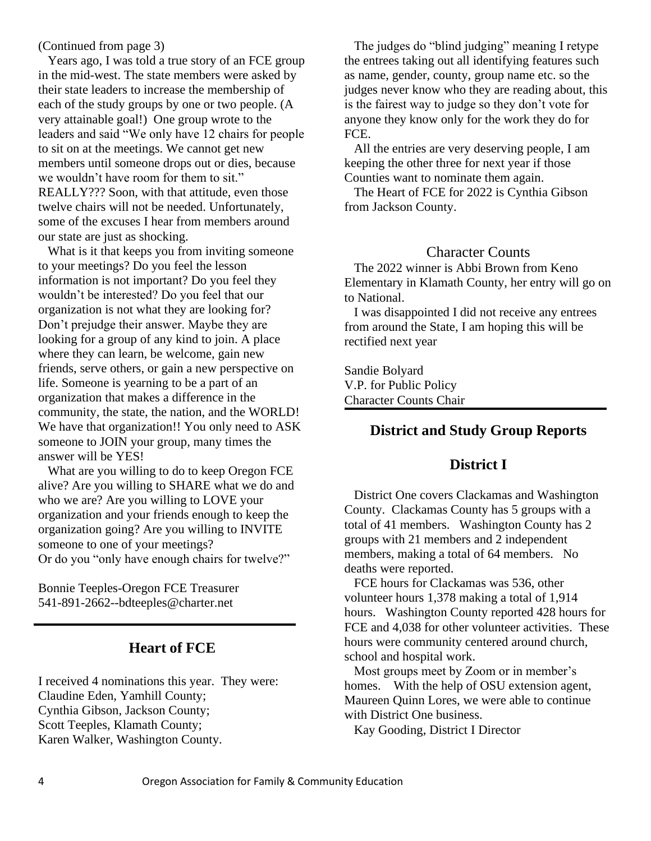(Continued from page 3)

Years ago, I was told a true story of an FCE group in the mid-west. The state members were asked by their state leaders to increase the membership of each of the study groups by one or two people. (A very attainable goal!) One group wrote to the leaders and said "We only have 12 chairs for people to sit on at the meetings. We cannot get new members until someone drops out or dies, because we wouldn't have room for them to sit." REALLY??? Soon, with that attitude, even those twelve chairs will not be needed. Unfortunately, some of the excuses I hear from members around our state are just as shocking.

What is it that keeps you from inviting someone to your meetings? Do you feel the lesson information is not important? Do you feel they wouldn't be interested? Do you feel that our organization is not what they are looking for? Don't prejudge their answer. Maybe they are looking for a group of any kind to join. A place where they can learn, be welcome, gain new friends, serve others, or gain a new perspective on life. Someone is yearning to be a part of an organization that makes a difference in the community, the state, the nation, and the WORLD! We have that organization!! You only need to ASK someone to JOIN your group, many times the answer will be YES!

What are you willing to do to keep Oregon FCE alive? Are you willing to SHARE what we do and who we are? Are you willing to LOVE your organization and your friends enough to keep the organization going? Are you willing to INVITE someone to one of your meetings? Or do you "only have enough chairs for twelve?"

Bonnie Teeples-Oregon FCE Treasurer 541-891-2662--bdteeples@charter.net

# **Heart of FCE**

I received 4 nominations this year. They were: Claudine Eden, Yamhill County; Cynthia Gibson, Jackson County; Scott Teeples, Klamath County; Karen Walker, Washington County.

The judges do "blind judging" meaning I retype the entrees taking out all identifying features such as name, gender, county, group name etc. so the judges never know who they are reading about, this is the fairest way to judge so they don't vote for anyone they know only for the work they do for FCE.

All the entries are very deserving people, I am keeping the other three for next year if those Counties want to nominate them again.

The Heart of FCE for 2022 is Cynthia Gibson from Jackson County.

## Character Counts

The 2022 winner is Abbi Brown from Keno Elementary in Klamath County, her entry will go on to National.

I was disappointed I did not receive any entrees from around the State, I am hoping this will be rectified next year

Sandie Bolyard V.P. for Public Policy Character Counts Chair

# **District and Study Group Reports**

## **District I**

District One covers Clackamas and Washington County. Clackamas County has 5 groups with a total of 41 members. Washington County has 2 groups with 21 members and 2 independent members, making a total of 64 members. No deaths were reported.

FCE hours for Clackamas was 536, other volunteer hours 1,378 making a total of 1,914 hours. Washington County reported 428 hours for FCE and 4,038 for other volunteer activities. These hours were community centered around church, school and hospital work.

Most groups meet by Zoom or in member's homes. With the help of OSU extension agent, Maureen Quinn Lores, we were able to continue with District One business.

Kay Gooding, District I Director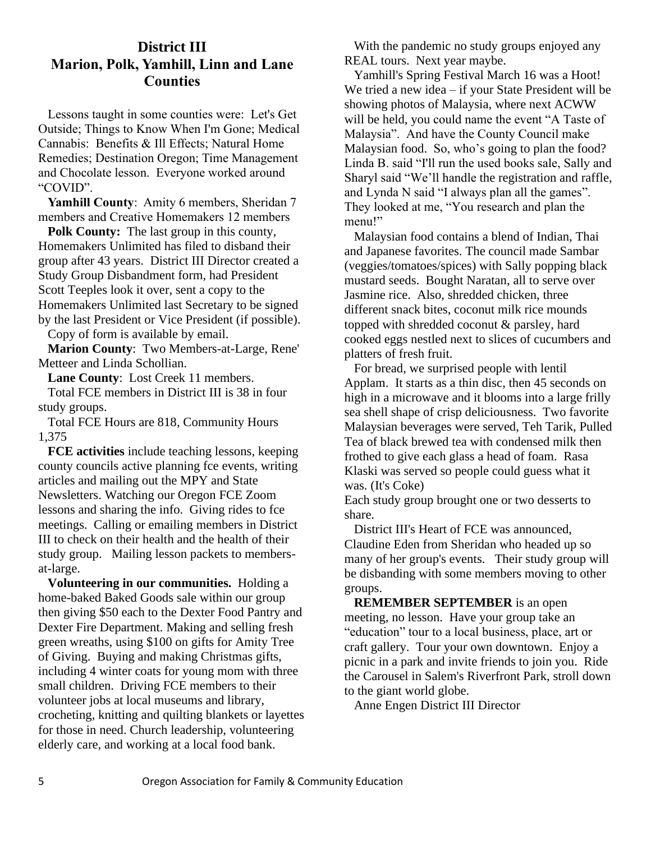# **District III Marion, Polk, Yamhill, Linn and Lane Counties**

Lessons taught in some counties were: Let's Get Outside; Things to Know When I'm Gone; Medical Cannabis: Benefits & Ill Effects; Natural Home Remedies; Destination Oregon; Time Management and Chocolate lesson. Everyone worked around "COVID".

**Yamhill County**: Amity 6 members, Sheridan 7 members and Creative Homemakers 12 members

**Polk County:** The last group in this county, Homemakers Unlimited has filed to disband their group after 43 years. District III Director created a Study Group Disbandment form, had President Scott Teeples look it over, sent a copy to the Homemakers Unlimited last Secretary to be signed by the last President or Vice President (if possible).

Copy of form is available by email.

**Marion County**: Two Members-at-Large, Rene' Metteer and Linda Schollian.

**Lane County**: Lost Creek 11 members.

Total FCE members in District III is 38 in four study groups.

Total FCE Hours are 818, Community Hours 1,375

**FCE activities** include teaching lessons, keeping county councils active planning fce events, writing articles and mailing out the MPY and State Newsletters. Watching our Oregon FCE Zoom lessons and sharing the info. Giving rides to fce meetings. Calling or emailing members in District III to check on their health and the health of their study group. Mailing lesson packets to membersat-large.

**Volunteering in our communities.** Holding a home-baked Baked Goods sale within our group then giving \$50 each to the Dexter Food Pantry and Dexter Fire Department. Making and selling fresh green wreaths, using \$100 on gifts for Amity Tree of Giving. Buying and making Christmas gifts, including 4 winter coats for young mom with three small children. Driving FCE members to their volunteer jobs at local museums and library, crocheting, knitting and quilting blankets or layettes for those in need. Church leadership, volunteering elderly care, and working at a local food bank.

With the pandemic no study groups enjoyed any REAL tours. Next year maybe.

Yamhill's Spring Festival March 16 was a Hoot! We tried a new idea – if your State President will be showing photos of Malaysia, where next ACWW will be held, you could name the event "A Taste of Malaysia". And have the County Council make Malaysian food. So, who's going to plan the food? Linda B. said "I'll run the used books sale, Sally and Sharyl said "We'll handle the registration and raffle, and Lynda N said "I always plan all the games". They looked at me, "You research and plan the menu!"

Malaysian food contains a blend of Indian, Thai and Japanese favorites. The council made Sambar (veggies/tomatoes/spices) with Sally popping black mustard seeds. Bought Naratan, all to serve over Jasmine rice. Also, shredded chicken, three different snack bites, coconut milk rice mounds topped with shredded coconut & parsley, hard cooked eggs nestled next to slices of cucumbers and platters of fresh fruit.

For bread, we surprised people with lentil Applam. It starts as a thin disc, then 45 seconds on high in a microwave and it blooms into a large frilly sea shell shape of crisp deliciousness. Two favorite Malaysian beverages were served, Teh Tarik, Pulled Tea of black brewed tea with condensed milk then frothed to give each glass a head of foam. Rasa Klaski was served so people could guess what it was. (It's Coke)

Each study group brought one or two desserts to share.

District III's Heart of FCE was announced, Claudine Eden from Sheridan who headed up so many of her group's events. Their study group will be disbanding with some members moving to other groups.

**REMEMBER SEPTEMBER** is an open meeting, no lesson. Have your group take an "education" tour to a local business, place, art or craft gallery. Tour your own downtown. Enjoy a picnic in a park and invite friends to join you. Ride the Carousel in Salem's Riverfront Park, stroll down to the giant world globe.

Anne Engen District III Director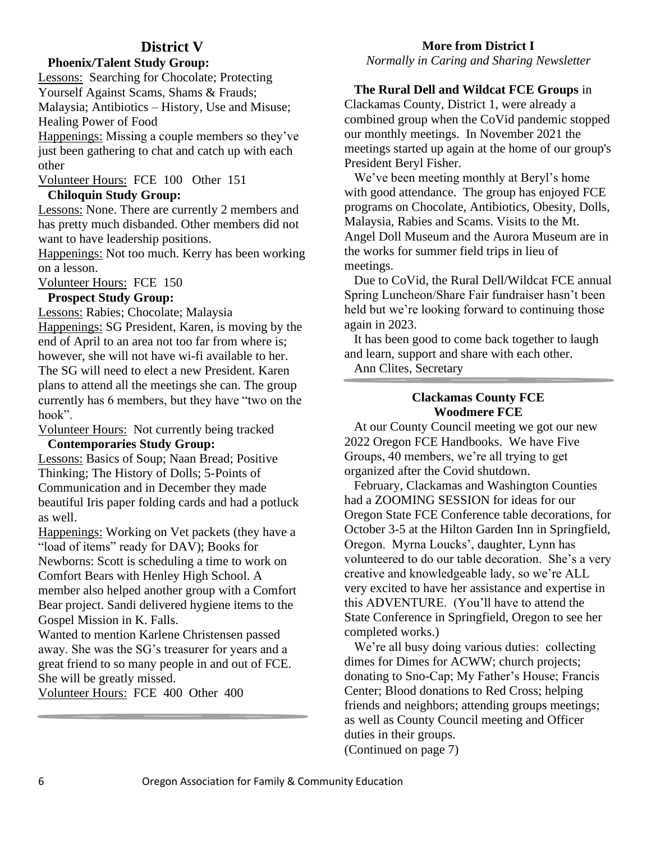# **District V**

### **Phoenix/Talent Study Group:**

Lessons: Searching for Chocolate; Protecting Yourself Against Scams, Shams & Frauds; Malaysia; Antibiotics – History, Use and Misuse;

Healing Power of Food

Happenings: Missing a couple members so they've just been gathering to chat and catch up with each other

Volunteer Hours: FCE 100 Other 151 **Chiloquin Study Group:**

Lessons: None. There are currently 2 members and has pretty much disbanded. Other members did not want to have leadership positions.

Happenings: Not too much. Kerry has been working on a lesson.

Volunteer Hours: FCE 150

## **Prospect Study Group:**

Lessons: Rabies; Chocolate; Malaysia

Happenings: SG President, Karen, is moving by the end of April to an area not too far from where is; however, she will not have wi-fi available to her. The SG will need to elect a new President. Karen plans to attend all the meetings she can. The group currently has 6 members, but they have "two on the hook".

Volunteer Hours: Not currently being tracked

#### **Contemporaries Study Group:**

Lessons: Basics of Soup; Naan Bread; Positive Thinking; The History of Dolls; 5-Points of Communication and in December they made beautiful Iris paper folding cards and had a potluck as well.

Happenings: Working on Vet packets (they have a "load of items" ready for DAV); Books for Newborns: Scott is scheduling a time to work on Comfort Bears with Henley High School. A member also helped another group with a Comfort Bear project. Sandi delivered hygiene items to the Gospel Mission in K. Falls.

Wanted to mention Karlene Christensen passed away. She was the SG's treasurer for years and a great friend to so many people in and out of FCE. She will be greatly missed.

Volunteer Hours: FCE 400 Other 400

### **More from District I**

*Normally in Caring and Sharing Newsletter*

### **The Rural Dell and Wildcat FCE Groups** in

Clackamas County, District 1, were already a combined group when the CoVid pandemic stopped our monthly meetings. In November 2021 the meetings started up again at the home of our group's President Beryl Fisher.

We've been meeting monthly at Beryl's home with good attendance. The group has enjoyed FCE programs on Chocolate, Antibiotics, Obesity, Dolls, Malaysia, Rabies and Scams. Visits to the Mt. Angel Doll Museum and the Aurora Museum are in the works for summer field trips in lieu of meetings.

Due to CoVid, the Rural Dell/Wildcat FCE annual Spring Luncheon/Share Fair fundraiser hasn't been held but we're looking forward to continuing those again in 2023.

It has been good to come back together to laugh and learn, support and share with each other.

Ann Clites, Secretary

### **Clackamas County FCE Woodmere FCE**

At our County Council meeting we got our new 2022 Oregon FCE Handbooks. We have Five Groups, 40 members, we're all trying to get organized after the Covid shutdown.

February, Clackamas and Washington Counties had a ZOOMING SESSION for ideas for our Oregon State FCE Conference table decorations, for October 3-5 at the Hilton Garden Inn in Springfield, Oregon. Myrna Loucks', daughter, Lynn has volunteered to do our table decoration. She's a very creative and knowledgeable lady, so we're ALL very excited to have her assistance and expertise in this ADVENTURE. (You'll have to attend the State Conference in Springfield, Oregon to see her completed works.)

We're all busy doing various duties: collecting dimes for Dimes for ACWW; church projects; donating to Sno-Cap; My Father's House; Francis Center; Blood donations to Red Cross; helping friends and neighbors; attending groups meetings; as well as County Council meeting and Officer duties in their groups. (Continued on page 7)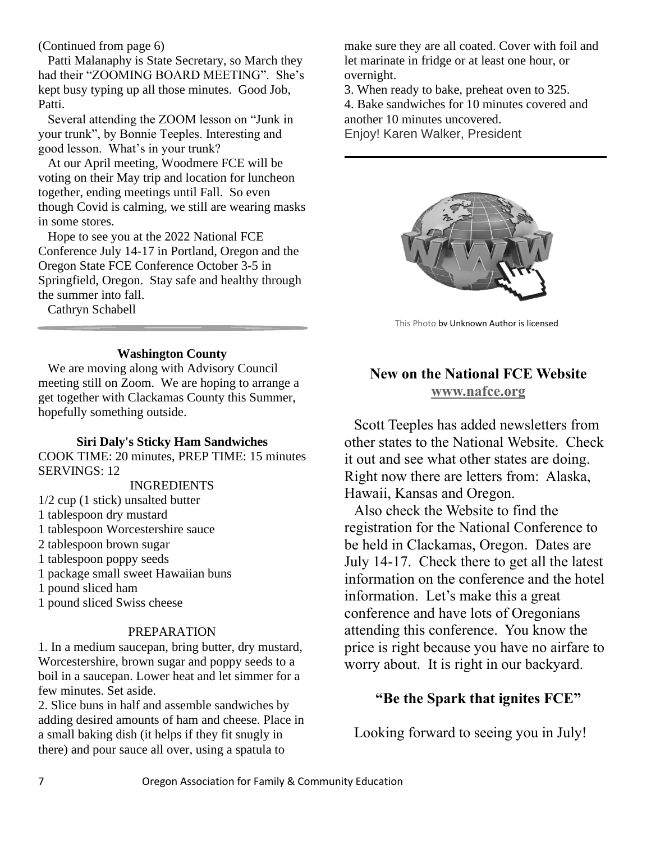(Continued from page 6)

Patti Malanaphy is State Secretary, so March they had their "ZOOMING BOARD MEETING". She's kept busy typing up all those minutes. Good Job, Patti.

Several attending the ZOOM lesson on "Junk in your trunk", by Bonnie Teeples. Interesting and good lesson. What's in your trunk?

At our April meeting, Woodmere FCE will be voting on their May trip and location for luncheon together, ending meetings until Fall. So even though Covid is calming, we still are wearing masks in some stores.

Hope to see you at the 2022 National FCE Conference July 14-17 in Portland, Oregon and the Oregon State FCE Conference October 3-5 in Springfield, Oregon. Stay safe and healthy through the summer into fall.

Cathryn Schabell

## **Washington County**

We are moving along with Advisory Council meeting still on Zoom. We are hoping to arrange a get together with Clackamas County this Summer, hopefully something outside.

## **Siri Daly's Sticky Ham Sandwiches**

COOK TIME: 20 minutes, PREP TIME: 15 minutes SERVINGS: 12

#### INGREDIENTS

- 1/2 cup (1 stick) unsalted butter
- 1 tablespoon dry mustard
- 1 tablespoon Worcestershire sauce
- 2 tablespoon brown sugar
- 1 tablespoon poppy seeds
- 1 package small sweet Hawaiian buns
- 1 pound sliced ham
- 1 pound sliced Swiss cheese

## PREPARATION

1. In a medium saucepan, bring butter, dry mustard, Worcestershire, brown sugar and poppy seeds to a boil in a saucepan. Lower heat and let simmer for a few minutes. Set aside.

2. Slice buns in half and assemble sandwiches by adding desired amounts of ham and cheese. Place in a small baking dish (it helps if they fit snugly in there) and pour sauce all over, using a spatula to

make sure they are all coated. Cover with foil and let marinate in fridge or at least one hour, or overnight.

3. When ready to bake, preheat oven to 325.

4. Bake sandwiches for 10 minutes covered and another 10 minutes uncovered.

Enjoy! Karen Walker, President



[This Photo](https://www.pngall.com/internet-png/download/64363) by Unknown Author is licensed

# **New on the National FCE Website [www.nafce.org](http://www.nafce.org/)**

Scott Teeples has added newsletters from other states to the National Website. Check it out and see what other states are doing. Right now there are letters from: Alaska, Hawaii, Kansas and Oregon.

Also check the Website to find the registration for the National Conference to be held in Clackamas, Oregon. Dates are July 14-17. Check there to get all the latest information on the conference and the hotel information. Let's make this a great conference and have lots of Oregonians attending this conference. You know the price is right because you have no airfare to worry about. It is right in our backyard.

# **"Be the Spark that ignites FCE"**

Looking forward to seeing you in July!